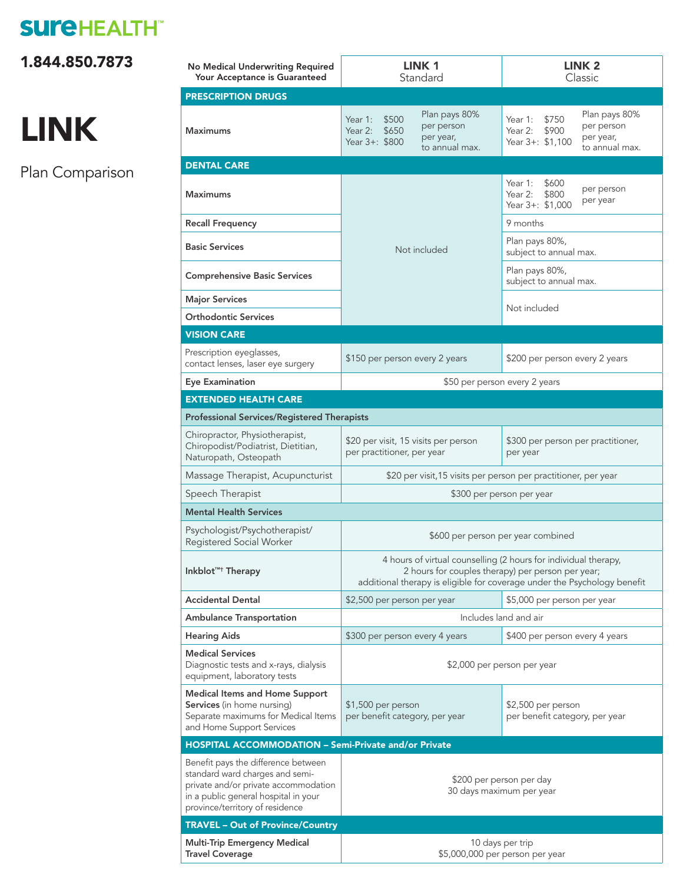# **SUI'EHEALTH®**

[1.844.850.7873](tel:18448507873) 

# LINK

Plan Comparison

| No Medical Underwriting Required<br>Your Acceptance is Guaranteed                                                                                                                         | LINK 1<br>Standard                                                                                                                                                                               | LINK <sub>2</sub><br>Classic                                                                                           |
|-------------------------------------------------------------------------------------------------------------------------------------------------------------------------------------------|--------------------------------------------------------------------------------------------------------------------------------------------------------------------------------------------------|------------------------------------------------------------------------------------------------------------------------|
| <b>PRESCRIPTION DRUGS</b>                                                                                                                                                                 |                                                                                                                                                                                                  |                                                                                                                        |
| <b>Maximums</b>                                                                                                                                                                           | Plan pays 80%<br>\$500<br>Year 1:<br>per person<br>Year 2:<br>\$650<br>per year,<br>Year 3+: \$800<br>to annual max.                                                                             | Plan pays 80%<br>Year 1:<br>\$750<br>per person<br>Year 2:<br>\$900<br>per year,<br>Year 3+: \$1,100<br>to annual max. |
| <b>DENTAL CARE</b>                                                                                                                                                                        |                                                                                                                                                                                                  |                                                                                                                        |
| <b>Maximums</b>                                                                                                                                                                           | Not included                                                                                                                                                                                     | Year $1$ :<br>\$600<br>per person<br>Year 2:<br>\$800<br>per year<br>Year 3+: \$1,000                                  |
| <b>Recall Frequency</b>                                                                                                                                                                   |                                                                                                                                                                                                  | 9 months                                                                                                               |
| <b>Basic Services</b>                                                                                                                                                                     |                                                                                                                                                                                                  | Plan pays 80%,<br>subject to annual max.                                                                               |
| <b>Comprehensive Basic Services</b>                                                                                                                                                       |                                                                                                                                                                                                  | Plan pays 80%,<br>subject to annual max.                                                                               |
| <b>Major Services</b>                                                                                                                                                                     |                                                                                                                                                                                                  | Not included                                                                                                           |
| <b>Orthodontic Services</b>                                                                                                                                                               |                                                                                                                                                                                                  |                                                                                                                        |
| <b>VISION CARE</b>                                                                                                                                                                        |                                                                                                                                                                                                  |                                                                                                                        |
| Prescription eyeglasses,<br>contact lenses, laser eye surgery                                                                                                                             | \$150 per person every 2 years                                                                                                                                                                   | \$200 per person every 2 years                                                                                         |
| <b>Eye Examination</b>                                                                                                                                                                    | \$50 per person every 2 years                                                                                                                                                                    |                                                                                                                        |
| <b>EXTENDED HEALTH CARE</b>                                                                                                                                                               |                                                                                                                                                                                                  |                                                                                                                        |
| <b>Professional Services/Registered Therapists</b>                                                                                                                                        |                                                                                                                                                                                                  |                                                                                                                        |
| Chiropractor, Physiotherapist,<br>Chiropodist/Podiatrist, Dietitian,<br>Naturopath, Osteopath                                                                                             | \$20 per visit, 15 visits per person<br>per practitioner, per year                                                                                                                               | \$300 per person per practitioner,<br>per year                                                                         |
| Massage Therapist, Acupuncturist                                                                                                                                                          | \$20 per visit, 15 visits per person per practitioner, per year                                                                                                                                  |                                                                                                                        |
| Speech Therapist                                                                                                                                                                          | \$300 per person per year                                                                                                                                                                        |                                                                                                                        |
| <b>Mental Health Services</b>                                                                                                                                                             |                                                                                                                                                                                                  |                                                                                                                        |
| Psychologist/Psychotherapist/<br>Registered Social Worker                                                                                                                                 | \$600 per person per year combined                                                                                                                                                               |                                                                                                                        |
| Inkblot <sup>TM+</sup> Therapy                                                                                                                                                            | 4 hours of virtual counselling (2 hours for individual therapy,<br>2 hours for couples therapy) per person per year;<br>additional therapy is eligible for coverage under the Psychology benefit |                                                                                                                        |
| <b>Accidental Dental</b>                                                                                                                                                                  | \$2,500 per person per year                                                                                                                                                                      | \$5,000 per person per year                                                                                            |
| <b>Ambulance Transportation</b>                                                                                                                                                           | Includes land and air                                                                                                                                                                            |                                                                                                                        |
| <b>Hearing Aids</b>                                                                                                                                                                       | \$300 per person every 4 years                                                                                                                                                                   | \$400 per person every 4 years                                                                                         |
| <b>Medical Services</b><br>Diagnostic tests and x-rays, dialysis<br>equipment, laboratory tests                                                                                           | \$2,000 per person per year                                                                                                                                                                      |                                                                                                                        |
| <b>Medical Items and Home Support</b><br><b>Services</b> (in home nursing)<br>Separate maximums for Medical Items<br>and Home Support Services                                            | \$1,500 per person<br>per benefit category, per year                                                                                                                                             | \$2,500 per person<br>per benefit category, per year                                                                   |
| <b>HOSPITAL ACCOMMODATION - Semi-Private and/or Private</b>                                                                                                                               |                                                                                                                                                                                                  |                                                                                                                        |
| Benefit pays the difference between<br>standard ward charges and semi-<br>private and/or private accommodation<br>in a public general hospital in your<br>province/territory of residence | \$200 per person per day<br>30 days maximum per year                                                                                                                                             |                                                                                                                        |
| <b>TRAVEL - Out of Province/Country</b>                                                                                                                                                   |                                                                                                                                                                                                  |                                                                                                                        |
| <b>Multi-Trip Emergency Medical</b><br><b>Travel Coverage</b>                                                                                                                             | 10 days per trip<br>\$5,000,000 per person per year                                                                                                                                              |                                                                                                                        |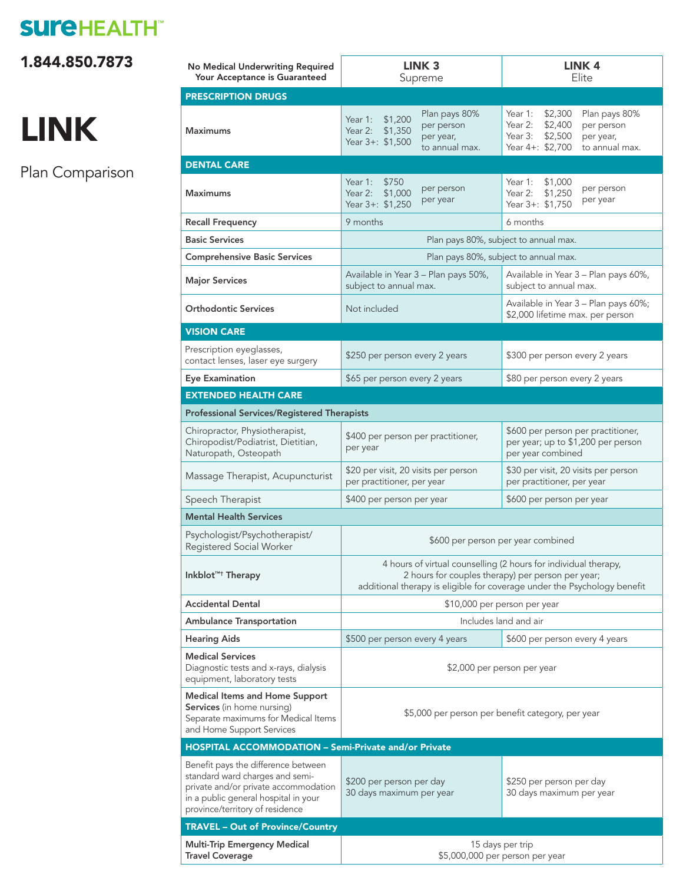# **SUI'EHEALTH®**

1.844.850.7873

# LINK

Plan Comparison

| No Medical Underwriting Required<br>Your Acceptance is Guaranteed                                                                                                                         | LINK <sub>3</sub><br>Supreme                                                                                                                                                                     | LINK <sub>4</sub><br>Elite                                                                                                                    |
|-------------------------------------------------------------------------------------------------------------------------------------------------------------------------------------------|--------------------------------------------------------------------------------------------------------------------------------------------------------------------------------------------------|-----------------------------------------------------------------------------------------------------------------------------------------------|
| <b>PRESCRIPTION DRUGS</b>                                                                                                                                                                 |                                                                                                                                                                                                  |                                                                                                                                               |
| <b>Maximums</b>                                                                                                                                                                           | Plan pays 80%<br>\$1,200<br>Year $1:$<br>per person<br>Year 2:<br>\$1,350<br>per year,<br>Year 3+: \$1,500<br>to annual max.                                                                     | Year 1:<br>\$2,300<br>Plan pays 80%<br>\$2,400<br>Year 2:<br>per person<br>Year 3: \$2,500<br>per year,<br>Year 4+: \$2,700<br>to annual max. |
| <b>DENTAL CARE</b>                                                                                                                                                                        |                                                                                                                                                                                                  |                                                                                                                                               |
| <b>Maximums</b>                                                                                                                                                                           | Year 1: \$750<br>per person<br>\$1,000<br>Year $2:$<br>per year<br>Year 3+: \$1,250                                                                                                              | \$1,000<br>Year 1:<br>per person<br>Year $2:$<br>\$1,250<br>per year<br>Year 3+: \$1,750                                                      |
| <b>Recall Frequency</b>                                                                                                                                                                   | 9 months                                                                                                                                                                                         | 6 months                                                                                                                                      |
| <b>Basic Services</b>                                                                                                                                                                     | Plan pays 80%, subject to annual max.                                                                                                                                                            |                                                                                                                                               |
| <b>Comprehensive Basic Services</b>                                                                                                                                                       | Plan pays 80%, subject to annual max.                                                                                                                                                            |                                                                                                                                               |
| <b>Major Services</b>                                                                                                                                                                     | Available in Year 3 - Plan pays 50%,<br>subject to annual max.                                                                                                                                   | Available in Year 3 - Plan pays 60%,<br>subject to annual max.                                                                                |
| <b>Orthodontic Services</b>                                                                                                                                                               | Not included                                                                                                                                                                                     | Available in Year 3 - Plan pays 60%;<br>\$2,000 lifetime max. per person                                                                      |
| <b>VISION CARE</b>                                                                                                                                                                        |                                                                                                                                                                                                  |                                                                                                                                               |
| Prescription eyeglasses,<br>contact lenses, laser eye surgery                                                                                                                             | \$250 per person every 2 years                                                                                                                                                                   | \$300 per person every 2 years                                                                                                                |
| <b>Eye Examination</b>                                                                                                                                                                    | \$65 per person every 2 years                                                                                                                                                                    | \$80 per person every 2 years                                                                                                                 |
| <b>EXTENDED HEALTH CARE</b>                                                                                                                                                               |                                                                                                                                                                                                  |                                                                                                                                               |
| <b>Professional Services/Registered Therapists</b>                                                                                                                                        |                                                                                                                                                                                                  |                                                                                                                                               |
| Chiropractor, Physiotherapist,<br>Chiropodist/Podiatrist, Dietitian,<br>Naturopath, Osteopath                                                                                             | \$400 per person per practitioner,<br>per year                                                                                                                                                   | \$600 per person per practitioner,<br>per year; up to \$1,200 per person<br>per year combined                                                 |
| Massage Therapist, Acupuncturist                                                                                                                                                          | \$20 per visit, 20 visits per person<br>per practitioner, per year                                                                                                                               | \$30 per visit, 20 visits per person<br>per practitioner, per year                                                                            |
| Speech Therapist                                                                                                                                                                          | \$400 per person per year                                                                                                                                                                        | \$600 per person per year                                                                                                                     |
| <b>Mental Health Services</b>                                                                                                                                                             |                                                                                                                                                                                                  |                                                                                                                                               |
| Psychologist/Psychotherapist/<br>Registered Social Worker                                                                                                                                 | \$600 per person per year combined                                                                                                                                                               |                                                                                                                                               |
| Inkblot <sup>TM+</sup> Therapy                                                                                                                                                            | 4 hours of virtual counselling (2 hours for individual therapy,<br>2 hours for couples therapy) per person per year;<br>additional therapy is eligible for coverage under the Psychology benefit |                                                                                                                                               |
| <b>Accidental Dental</b>                                                                                                                                                                  | \$10,000 per person per year                                                                                                                                                                     |                                                                                                                                               |
| <b>Ambulance Transportation</b>                                                                                                                                                           | Includes land and air                                                                                                                                                                            |                                                                                                                                               |
| <b>Hearing Aids</b>                                                                                                                                                                       | \$500 per person every 4 years                                                                                                                                                                   | \$600 per person every 4 years                                                                                                                |
| <b>Medical Services</b><br>Diagnostic tests and x-rays, dialysis<br>equipment, laboratory tests                                                                                           | \$2,000 per person per year                                                                                                                                                                      |                                                                                                                                               |
| <b>Medical Items and Home Support</b><br><b>Services</b> (in home nursing)<br>Separate maximums for Medical Items<br>and Home Support Services                                            | \$5,000 per person per benefit category, per year                                                                                                                                                |                                                                                                                                               |
| <b>HOSPITAL ACCOMMODATION - Semi-Private and/or Private</b>                                                                                                                               |                                                                                                                                                                                                  |                                                                                                                                               |
| Benefit pays the difference between<br>standard ward charges and semi-<br>private and/or private accommodation<br>in a public general hospital in your<br>province/territory of residence | \$200 per person per day<br>30 days maximum per year                                                                                                                                             | \$250 per person per day<br>30 days maximum per year                                                                                          |
| <b>TRAVEL - Out of Province/Country</b>                                                                                                                                                   |                                                                                                                                                                                                  |                                                                                                                                               |
| <b>Multi-Trip Emergency Medical</b><br><b>Travel Coverage</b>                                                                                                                             | 15 days per trip<br>\$5,000,000 per person per year                                                                                                                                              |                                                                                                                                               |